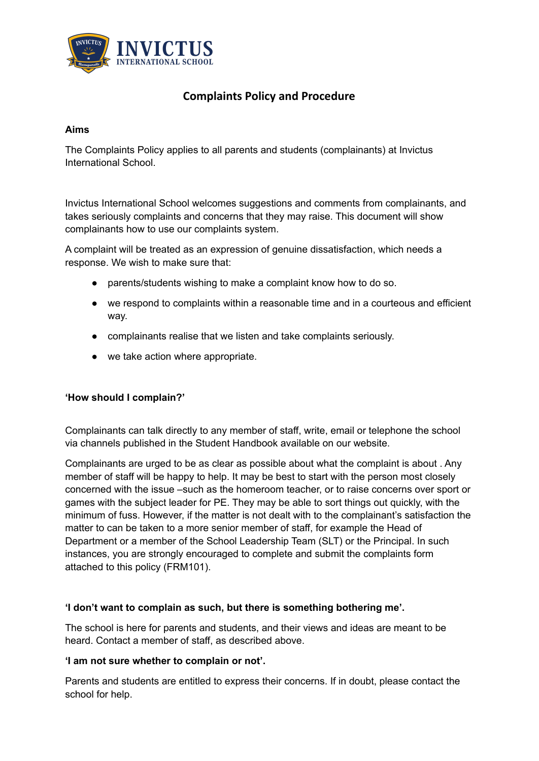

# **Complaints Policy and Procedure**

### **Aims**

The Complaints Policy applies to all parents and students (complainants) at Invictus International School.

Invictus International School welcomes suggestions and comments from complainants, and takes seriously complaints and concerns that they may raise. This document will show complainants how to use our complaints system.

A complaint will be treated as an expression of genuine dissatisfaction, which needs a response. We wish to make sure that:

- parents/students wishing to make a complaint know how to do so.
- we respond to complaints within a reasonable time and in a courteous and efficient way.
- complainants realise that we listen and take complaints seriously.
- we take action where appropriate.

#### **'How should I complain?'**

Complainants can talk directly to any member of staff, write, email or telephone the school via channels published in the Student Handbook available on our website.

Complainants are urged to be as clear as possible about what the complaint is about . Any member of staff will be happy to help. It may be best to start with the person most closely concerned with the issue –such as the homeroom teacher, or to raise concerns over sport or games with the subject leader for PE. They may be able to sort things out quickly, with the minimum of fuss. However, if the matter is not dealt with to the complainant's satisfaction the matter to can be taken to a more senior member of staff, for example the Head of Department or a member of the School Leadership Team (SLT) or the Principal. In such instances, you are strongly encouraged to complete and submit the complaints form attached to this policy (FRM101).

#### **'I don't want to complain as such, but there is something bothering me'.**

The school is here for parents and students, and their views and ideas are meant to be heard. Contact a member of staff, as described above.

#### **'I am not sure whether to complain or not'.**

Parents and students are entitled to express their concerns. If in doubt, please contact the school for help.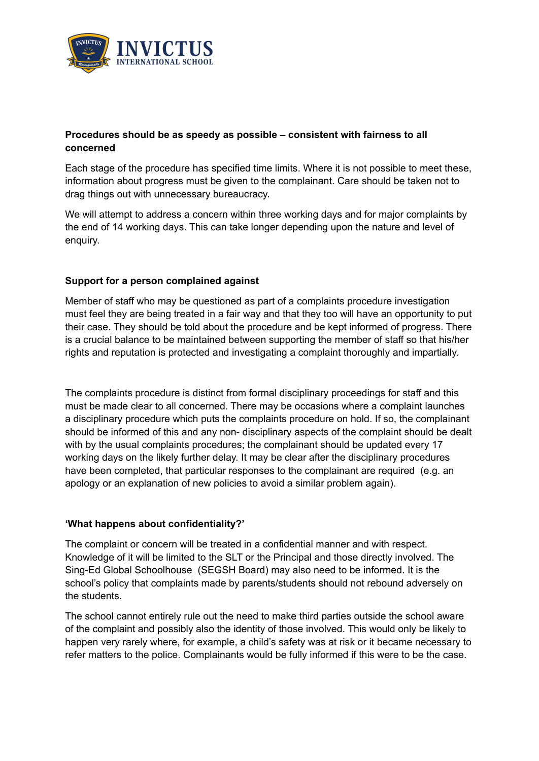

# **Procedures should be as speedy as possible – consistent with fairness to all concerned**

Each stage of the procedure has specified time limits. Where it is not possible to meet these, information about progress must be given to the complainant. Care should be taken not to drag things out with unnecessary bureaucracy.

We will attempt to address a concern within three working days and for major complaints by the end of 14 working days. This can take longer depending upon the nature and level of enquiry.

### **Support for a person complained against**

Member of staff who may be questioned as part of a complaints procedure investigation must feel they are being treated in a fair way and that they too will have an opportunity to put their case. They should be told about the procedure and be kept informed of progress. There is a crucial balance to be maintained between supporting the member of staff so that his/her rights and reputation is protected and investigating a complaint thoroughly and impartially.

The complaints procedure is distinct from formal disciplinary proceedings for staff and this must be made clear to all concerned. There may be occasions where a complaint launches a disciplinary procedure which puts the complaints procedure on hold. If so, the complainant should be informed of this and any non- disciplinary aspects of the complaint should be dealt with by the usual complaints procedures; the complainant should be updated every 17 working days on the likely further delay. It may be clear after the disciplinary procedures have been completed, that particular responses to the complainant are required (e.g. an apology or an explanation of new policies to avoid a similar problem again).

### **'What happens about confidentiality?'**

The complaint or concern will be treated in a confidential manner and with respect. Knowledge of it will be limited to the SLT or the Principal and those directly involved. The Sing-Ed Global Schoolhouse (SEGSH Board) may also need to be informed. It is the school's policy that complaints made by parents/students should not rebound adversely on the students.

The school cannot entirely rule out the need to make third parties outside the school aware of the complaint and possibly also the identity of those involved. This would only be likely to happen very rarely where, for example, a child's safety was at risk or it became necessary to refer matters to the police. Complainants would be fully informed if this were to be the case.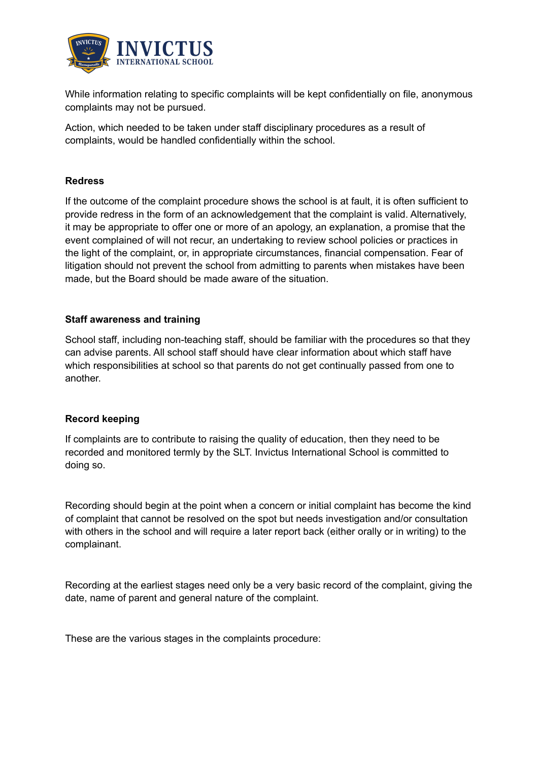

While information relating to specific complaints will be kept confidentially on file, anonymous complaints may not be pursued.

Action, which needed to be taken under staff disciplinary procedures as a result of complaints, would be handled confidentially within the school.

### **Redress**

If the outcome of the complaint procedure shows the school is at fault, it is often sufficient to provide redress in the form of an acknowledgement that the complaint is valid. Alternatively, it may be appropriate to offer one or more of an apology, an explanation, a promise that the event complained of will not recur, an undertaking to review school policies or practices in the light of the complaint, or, in appropriate circumstances, financial compensation. Fear of litigation should not prevent the school from admitting to parents when mistakes have been made, but the Board should be made aware of the situation.

### **Staff awareness and training**

School staff, including non-teaching staff, should be familiar with the procedures so that they can advise parents. All school staff should have clear information about which staff have which responsibilities at school so that parents do not get continually passed from one to another.

#### **Record keeping**

If complaints are to contribute to raising the quality of education, then they need to be recorded and monitored termly by the SLT. Invictus International School is committed to doing so.

Recording should begin at the point when a concern or initial complaint has become the kind of complaint that cannot be resolved on the spot but needs investigation and/or consultation with others in the school and will require a later report back (either orally or in writing) to the complainant.

Recording at the earliest stages need only be a very basic record of the complaint, giving the date, name of parent and general nature of the complaint.

These are the various stages in the complaints procedure: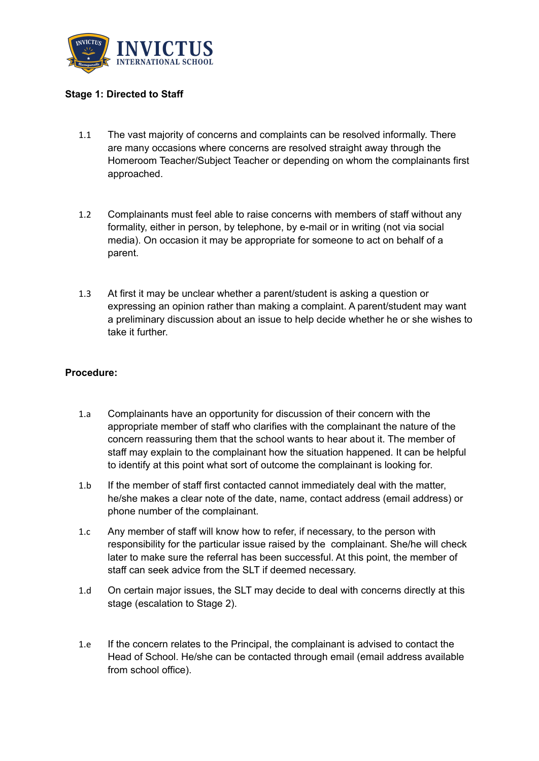

### **Stage 1: Directed to Staff**

- 1.1 The vast majority of concerns and complaints can be resolved informally. There are many occasions where concerns are resolved straight away through the Homeroom Teacher/Subject Teacher or depending on whom the complainants first approached.
- 1.2 Complainants must feel able to raise concerns with members of staff without any formality, either in person, by telephone, by e-mail or in writing (not via social media). On occasion it may be appropriate for someone to act on behalf of a parent.
- 1.3 At first it may be unclear whether a parent/student is asking a question or expressing an opinion rather than making a complaint. A parent/student may want a preliminary discussion about an issue to help decide whether he or she wishes to take it further.

### **Procedure:**

- 1.a Complainants have an opportunity for discussion of their concern with the appropriate member of staff who clarifies with the complainant the nature of the concern reassuring them that the school wants to hear about it. The member of staff may explain to the complainant how the situation happened. It can be helpful to identify at this point what sort of outcome the complainant is looking for.
- 1.b If the member of staff first contacted cannot immediately deal with the matter, he/she makes a clear note of the date, name, contact address (email address) or phone number of the complainant.
- 1.c Any member of staff will know how to refer, if necessary, to the person with responsibility for the particular issue raised by the complainant. She/he will check later to make sure the referral has been successful. At this point, the member of staff can seek advice from the SLT if deemed necessary.
- 1.d On certain major issues, the SLT may decide to deal with concerns directly at this stage (escalation to Stage 2).
- 1.e If the concern relates to the Principal, the complainant is advised to contact the Head of School. He/she can be contacted through email (email address available from school office).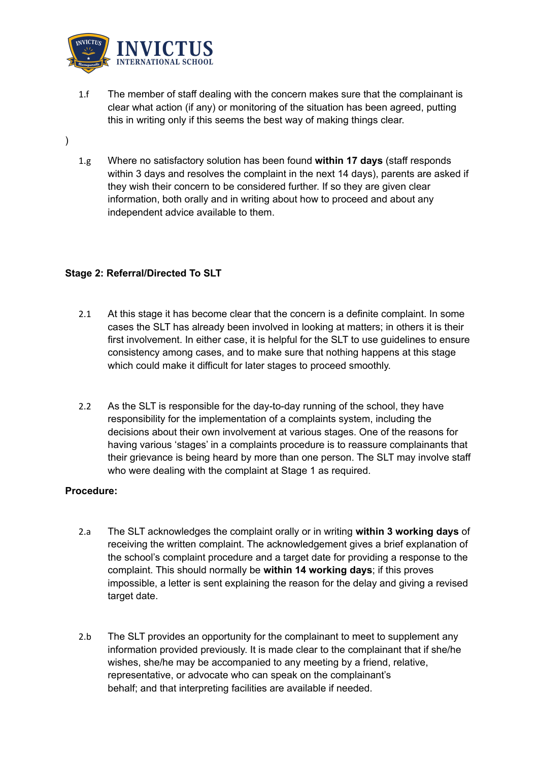

- 1.f The member of staff dealing with the concern makes sure that the complainant is clear what action (if any) or monitoring of the situation has been agreed, putting this in writing only if this seems the best way of making things clear.
- )
- 1.g Where no satisfactory solution has been found **within 17 days** (staff responds within 3 days and resolves the complaint in the next 14 days), parents are asked if they wish their concern to be considered further. If so they are given clear information, both orally and in writing about how to proceed and about any independent advice available to them.

# **Stage 2: Referral/Directed To SLT**

- 2.1 At this stage it has become clear that the concern is a definite complaint. In some cases the SLT has already been involved in looking at matters; in others it is their first involvement. In either case, it is helpful for the SLT to use guidelines to ensure consistency among cases, and to make sure that nothing happens at this stage which could make it difficult for later stages to proceed smoothly.
- 2.2 As the SLT is responsible for the day-to-day running of the school, they have responsibility for the implementation of a complaints system, including the decisions about their own involvement at various stages. One of the reasons for having various 'stages' in a complaints procedure is to reassure complainants that their grievance is being heard by more than one person. The SLT may involve staff who were dealing with the complaint at Stage 1 as required.

# **Procedure:**

- 2.a The SLT acknowledges the complaint orally or in writing **within 3 working days** of receiving the written complaint. The acknowledgement gives a brief explanation of the school's complaint procedure and a target date for providing a response to the complaint. This should normally be **within 14 working days**; if this proves impossible, a letter is sent explaining the reason for the delay and giving a revised target date.
- 2.b The SLT provides an opportunity for the complainant to meet to supplement any information provided previously. It is made clear to the complainant that if she/he wishes, she/he may be accompanied to any meeting by a friend, relative, representative, or advocate who can speak on the complainant's behalf; and that interpreting facilities are available if needed.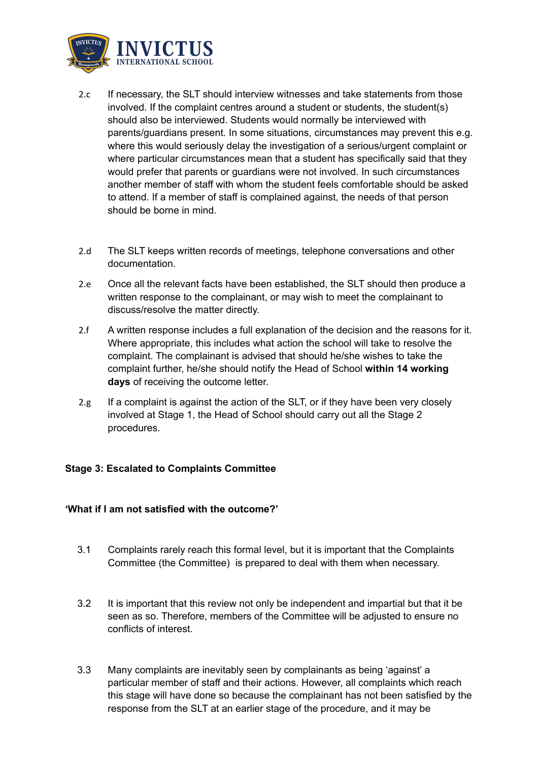

- 2.c If necessary, the SLT should interview witnesses and take statements from those involved. If the complaint centres around a student or students, the student(s) should also be interviewed. Students would normally be interviewed with parents/guardians present. In some situations, circumstances may prevent this e.g. where this would seriously delay the investigation of a serious/urgent complaint or where particular circumstances mean that a student has specifically said that they would prefer that parents or guardians were not involved. In such circumstances another member of staff with whom the student feels comfortable should be asked to attend. If a member of staff is complained against, the needs of that person should be borne in mind.
- 2.d The SLT keeps written records of meetings, telephone conversations and other documentation.
- 2.e Once all the relevant facts have been established, the SLT should then produce a written response to the complainant, or may wish to meet the complainant to discuss/resolve the matter directly.
- 2.f A written response includes a full explanation of the decision and the reasons for it. Where appropriate, this includes what action the school will take to resolve the complaint. The complainant is advised that should he/she wishes to take the complaint further, he/she should notify the Head of School **within 14 working days** of receiving the outcome letter.
- $2.g$  If a complaint is against the action of the SLT, or if they have been very closely involved at Stage 1, the Head of School should carry out all the Stage 2 procedures.

# **Stage 3: Escalated to Complaints Committee**

### **'What if I am not satisfied with the outcome?'**

- 3.1 Complaints rarely reach this formal level, but it is important that the Complaints Committee (the Committee) is prepared to deal with them when necessary.
- 3.2 It is important that this review not only be independent and impartial but that it be seen as so. Therefore, members of the Committee will be adjusted to ensure no conflicts of interest.
- 3.3 Many complaints are inevitably seen by complainants as being 'against' a particular member of staff and their actions. However, all complaints which reach this stage will have done so because the complainant has not been satisfied by the response from the SLT at an earlier stage of the procedure, and it may be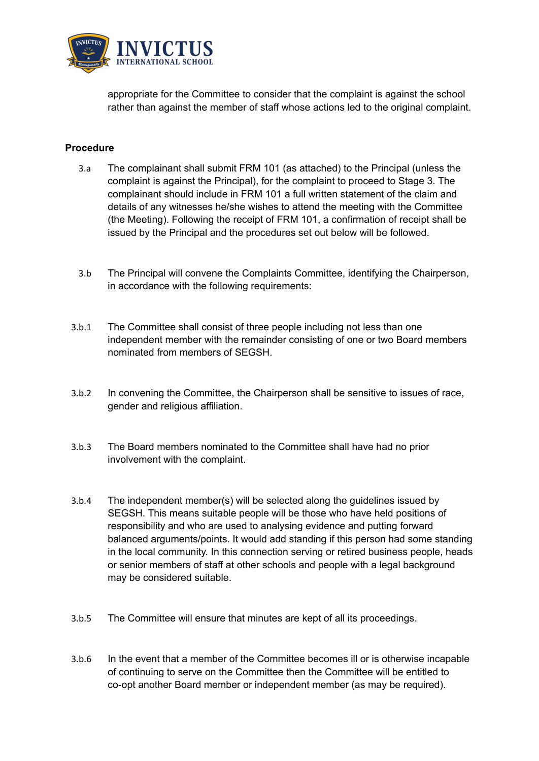

appropriate for the Committee to consider that the complaint is against the school rather than against the member of staff whose actions led to the original complaint.

### **Procedure**

- 3.a The complainant shall submit FRM 101 (as attached) to the Principal (unless the complaint is against the Principal), for the complaint to proceed to Stage 3. The complainant should include in FRM 101 a full written statement of the claim and details of any witnesses he/she wishes to attend the meeting with the Committee (the Meeting). Following the receipt of FRM 101, a confirmation of receipt shall be issued by the Principal and the procedures set out below will be followed.
- 3.b The Principal will convene the Complaints Committee, identifying the Chairperson, in accordance with the following requirements:
- 3.b.1 The Committee shall consist of three people including not less than one independent member with the remainder consisting of one or two Board members nominated from members of SEGSH.
- 3.b.2 In convening the Committee, the Chairperson shall be sensitive to issues of race, gender and religious affiliation.
- 3.b.3 The Board members nominated to the Committee shall have had no prior involvement with the complaint.
- 3.b.4 The independent member(s) will be selected along the guidelines issued by SEGSH. This means suitable people will be those who have held positions of responsibility and who are used to analysing evidence and putting forward balanced arguments/points. It would add standing if this person had some standing in the local community. In this connection serving or retired business people, heads or senior members of staff at other schools and people with a legal background may be considered suitable.
- 3.b.5 The Committee will ensure that minutes are kept of all its proceedings.
- 3.b.6 In the event that a member of the Committee becomes ill or is otherwise incapable of continuing to serve on the Committee then the Committee will be entitled to co-opt another Board member or independent member (as may be required).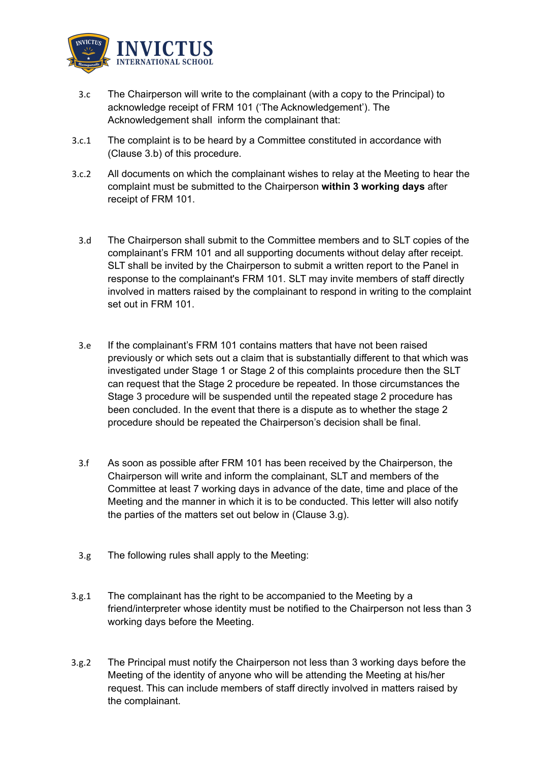

- 3.c The Chairperson will write to the complainant (with a copy to the Principal) to acknowledge receipt of FRM 101 ('The Acknowledgement'). The Acknowledgement shall inform the complainant that:
- 3.c.1 The complaint is to be heard by a Committee constituted in accordance with (Clause 3.b) of this procedure.
- 3.c.2 All documents on which the complainant wishes to relay at the Meeting to hear the complaint must be submitted to the Chairperson **within 3 working days** after receipt of FRM 101.
	- 3.d The Chairperson shall submit to the Committee members and to SLT copies of the complainant's FRM 101 and all supporting documents without delay after receipt. SLT shall be invited by the Chairperson to submit a written report to the Panel in response to the complainant's FRM 101. SLT may invite members of staff directly involved in matters raised by the complainant to respond in writing to the complaint set out in FRM 101.
	- 3.e If the complainant's FRM 101 contains matters that have not been raised previously or which sets out a claim that is substantially different to that which was investigated under Stage 1 or Stage 2 of this complaints procedure then the SLT can request that the Stage 2 procedure be repeated. In those circumstances the Stage 3 procedure will be suspended until the repeated stage 2 procedure has been concluded. In the event that there is a dispute as to whether the stage 2 procedure should be repeated the Chairperson's decision shall be final.
	- 3.f As soon as possible after FRM 101 has been received by the Chairperson, the Chairperson will write and inform the complainant, SLT and members of the Committee at least 7 working days in advance of the date, time and place of the Meeting and the manner in which it is to be conducted. This letter will also notify the parties of the matters set out below in (Clause 3.g).
	- 3.g The following rules shall apply to the Meeting:
- 3.g.1 The complainant has the right to be accompanied to the Meeting by a friend/interpreter whose identity must be notified to the Chairperson not less than 3 working days before the Meeting.
- 3.g.2 The Principal must notify the Chairperson not less than 3 working days before the Meeting of the identity of anyone who will be attending the Meeting at his/her request. This can include members of staff directly involved in matters raised by the complainant.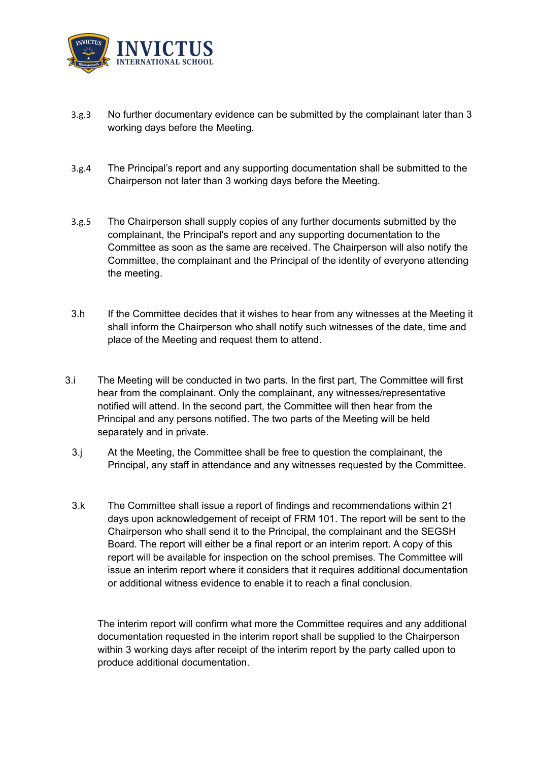

- 3.g.3 No further documentary evidence can be submitted by the complainant later than 3 working days before the Meeting.
- 3.g.4 The Principal's report and any supporting documentation shall be submitted to the Chairperson not later than 3 working days before the Meeting.
- 3.g.5 The Chairperson shall supply copies of any further documents submitted by the complainant, the Principal's report and any supporting documentation to the Committee as soon as the same are received. The Chairperson will also notify the Committee, the complainant and the Principal of the identity of everyone attending the meeting.
- 3.h If the Committee decides that it wishes to hear from any witnesses at the Meeting it shall inform the Chairperson who shall notify such witnesses of the date, time and place of the Meeting and request them to attend.
- 3.i The Meeting will be conducted in two parts. In the first part, The Committee will first hear from the complainant. Only the complainant, any witnesses/representative notified will attend. In the second part, the Committee will then hear from the Principal and any persons notified. The two parts of the Meeting will be held separately and in private.
	- 3.j At the Meeting, the Committee shall be free to question the complainant, the Principal, any staff in attendance and any witnesses requested by the Committee.
	- 3.k The Committee shall issue a report of findings and recommendations within 21 days upon acknowledgement of receipt of FRM 101. The report will be sent to the Chairperson who shall send it to the Principal, the complainant and the SEGSH Board. The report will either be a final report or an interim report. A copy of this report will be available for inspection on the school premises. The Committee will issue an interim report where it considers that it requires additional documentation or additional witness evidence to enable it to reach a final conclusion.

The interim report will confirm what more the Committee requires and any additional documentation requested in the interim report shall be supplied to the Chairperson within 3 working days after receipt of the interim report by the party called upon to produce additional documentation.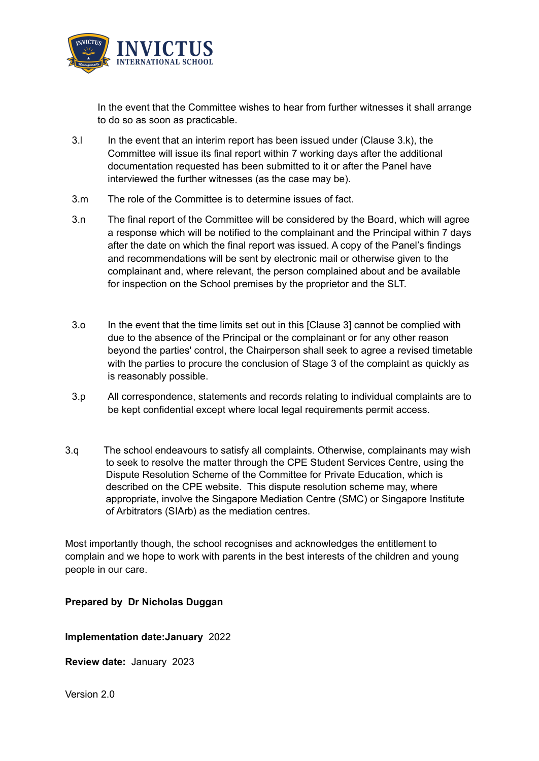

In the event that the Committee wishes to hear from further witnesses it shall arrange to do so as soon as practicable.

- 3.l In the event that an interim report has been issued under (Clause 3.k), the Committee will issue its final report within 7 working days after the additional documentation requested has been submitted to it or after the Panel have interviewed the further witnesses (as the case may be).
- 3.m The role of the Committee is to determine issues of fact.
- 3.n The final report of the Committee will be considered by the Board, which will agree a response which will be notified to the complainant and the Principal within 7 days after the date on which the final report was issued. A copy of the Panel's findings and recommendations will be sent by electronic mail or otherwise given to the complainant and, where relevant, the person complained about and be available for inspection on the School premises by the proprietor and the SLT.
- 3.o In the event that the time limits set out in this [Clause 3] cannot be complied with due to the absence of the Principal or the complainant or for any other reason beyond the parties' control, the Chairperson shall seek to agree a revised timetable with the parties to procure the conclusion of Stage 3 of the complaint as quickly as is reasonably possible.
- 3.p All correspondence, statements and records relating to individual complaints are to be kept confidential except where local legal requirements permit access.
- 3.q The school endeavours to satisfy all complaints. Otherwise, complainants may wish to seek to resolve the matter through the CPE Student Services Centre, using the Dispute Resolution Scheme of the Committee for Private Education, which is described on the CPE website. This dispute resolution scheme may, where appropriate, involve the Singapore Mediation Centre (SMC) or Singapore Institute of Arbitrators (SIArb) as the mediation centres.

Most importantly though, the school recognises and acknowledges the entitlement to complain and we hope to work with parents in the best interests of the children and young people in our care.

# **Prepared by Dr Nicholas Duggan**

**Implementation date:January** 2022

**Review date:** January 2023

Version 2.0